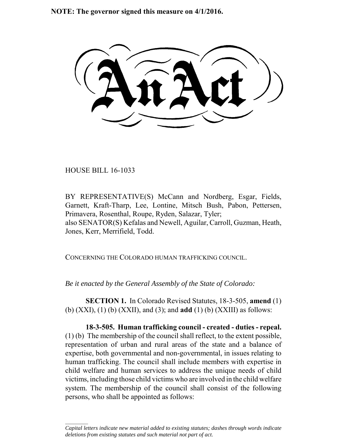**NOTE: The governor signed this measure on 4/1/2016.**

HOUSE BILL 16-1033

 $\frac{1}{2}$ 

BY REPRESENTATIVE(S) McCann and Nordberg, Esgar, Fields, Garnett, Kraft-Tharp, Lee, Lontine, Mitsch Bush, Pabon, Pettersen, Primavera, Rosenthal, Roupe, Ryden, Salazar, Tyler; also SENATOR(S) Kefalas and Newell, Aguilar, Carroll, Guzman, Heath, Jones, Kerr, Merrifield, Todd.

CONCERNING THE COLORADO HUMAN TRAFFICKING COUNCIL.

*Be it enacted by the General Assembly of the State of Colorado:*

**SECTION 1.** In Colorado Revised Statutes, 18-3-505, **amend** (1) (b) (XXI), (1) (b) (XXII), and (3); and **add** (1) (b) (XXIII) as follows:

**18-3-505. Human trafficking council - created - duties - repeal.** (1) (b) The membership of the council shall reflect, to the extent possible, representation of urban and rural areas of the state and a balance of expertise, both governmental and non-governmental, in issues relating to human trafficking. The council shall include members with expertise in child welfare and human services to address the unique needs of child victims, including those child victims who are involved in the child welfare system. The membership of the council shall consist of the following persons, who shall be appointed as follows:

*Capital letters indicate new material added to existing statutes; dashes through words indicate deletions from existing statutes and such material not part of act.*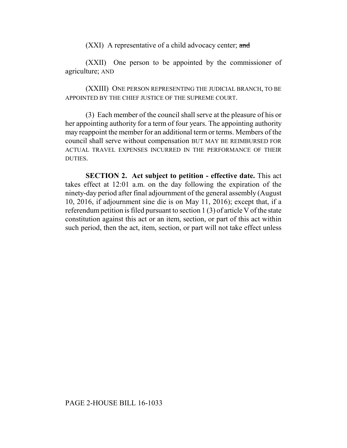(XXI) A representative of a child advocacy center; and

(XXII) One person to be appointed by the commissioner of agriculture; AND

(XXIII) ONE PERSON REPRESENTING THE JUDICIAL BRANCH, TO BE APPOINTED BY THE CHIEF JUSTICE OF THE SUPREME COURT.

(3) Each member of the council shall serve at the pleasure of his or her appointing authority for a term of four years. The appointing authority may reappoint the member for an additional term or terms. Members of the council shall serve without compensation BUT MAY BE REIMBURSED FOR ACTUAL TRAVEL EXPENSES INCURRED IN THE PERFORMANCE OF THEIR DUTIES.

**SECTION 2. Act subject to petition - effective date.** This act takes effect at 12:01 a.m. on the day following the expiration of the ninety-day period after final adjournment of the general assembly (August 10, 2016, if adjournment sine die is on May 11, 2016); except that, if a referendum petition is filed pursuant to section 1 (3) of article V of the state constitution against this act or an item, section, or part of this act within such period, then the act, item, section, or part will not take effect unless